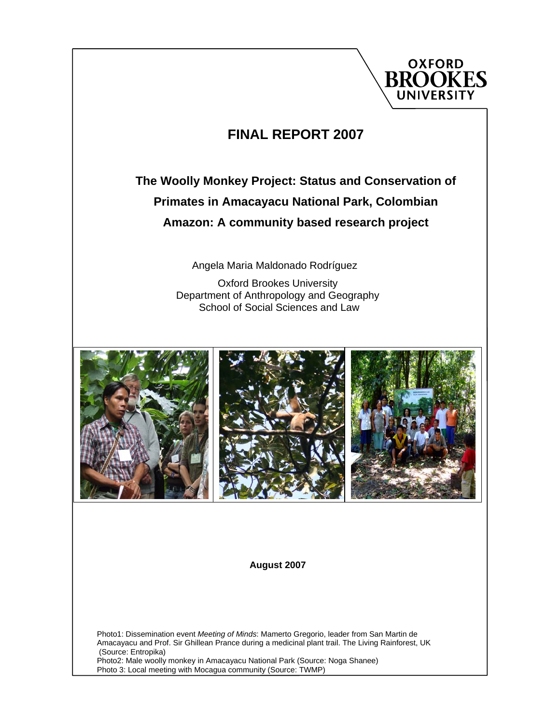

## **FINAL REPORT 2007**

## **The Woolly Monkey Project: Status and Conservation of Primates in Amacayacu National Park, Colombian Amazon: A community based research project**

Angela Maria Maldonado Rodríguez

Oxford Brookes University Department of Anthropology and Geography School of Social Sciences and Law



#### **August 2007**

Photo1: Dissemination event *Meeting of Minds*: Mamerto Gregorio, leader from San Martin de Amacayacu and Prof. Sir Ghillean Prance during a medicinal plant trail. The Living Rainforest, UK (Source: Entropika) Photo2: Male woolly monkey in Amacayacu National Park (Source: Noga Shanee) Photo 3: Local meeting with Mocagua community (Source: TWMP)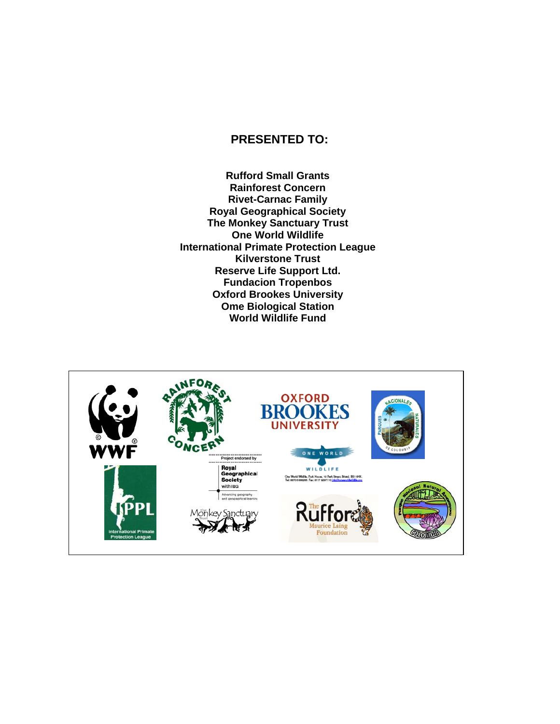#### **PRESENTED TO:**

**Rufford Small Grants Rainforest Concern Rivet-Carnac Family Royal Geographical Society The Monkey Sanctuary Trust One World Wildlife International Primate Protection League Kilverstone Trust Reserve Life Support Ltd. Fundacion Tropenbos Oxford Brookes University Ome Biological Station World Wildlife Fund** 

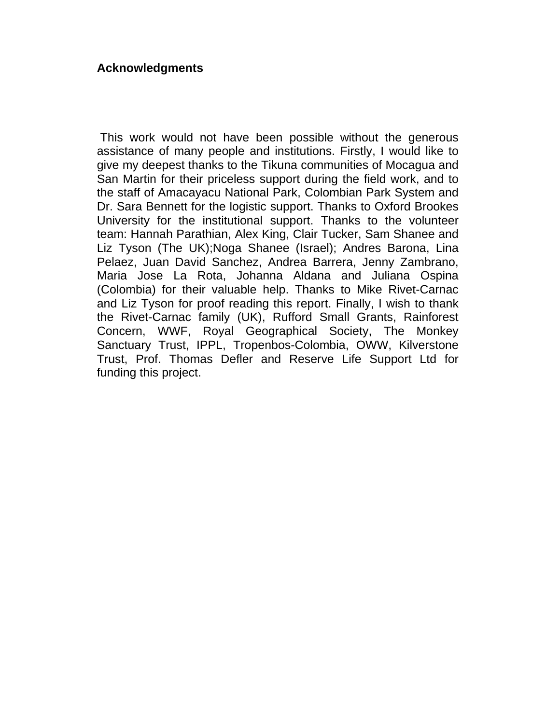#### **Acknowledgments**

 This work would not have been possible without the generous assistance of many people and institutions. Firstly, I would like to give my deepest thanks to the Tikuna communities of Mocagua and San Martin for their priceless support during the field work, and to the staff of Amacayacu National Park, Colombian Park System and Dr. Sara Bennett for the logistic support. Thanks to Oxford Brookes University for the institutional support. Thanks to the volunteer team: Hannah Parathian, Alex King, Clair Tucker, Sam Shanee and Liz Tyson (The UK);Noga Shanee (Israel); Andres Barona, Lina Pelaez, Juan David Sanchez, Andrea Barrera, Jenny Zambrano, Maria Jose La Rota, Johanna Aldana and Juliana Ospina (Colombia) for their valuable help. Thanks to Mike Rivet-Carnac and Liz Tyson for proof reading this report. Finally, I wish to thank the Rivet-Carnac family (UK), Rufford Small Grants, Rainforest Concern, WWF, Royal Geographical Society, The Monkey Sanctuary Trust, IPPL, Tropenbos-Colombia, OWW, Kilverstone Trust, Prof. Thomas Defler and Reserve Life Support Ltd for funding this project.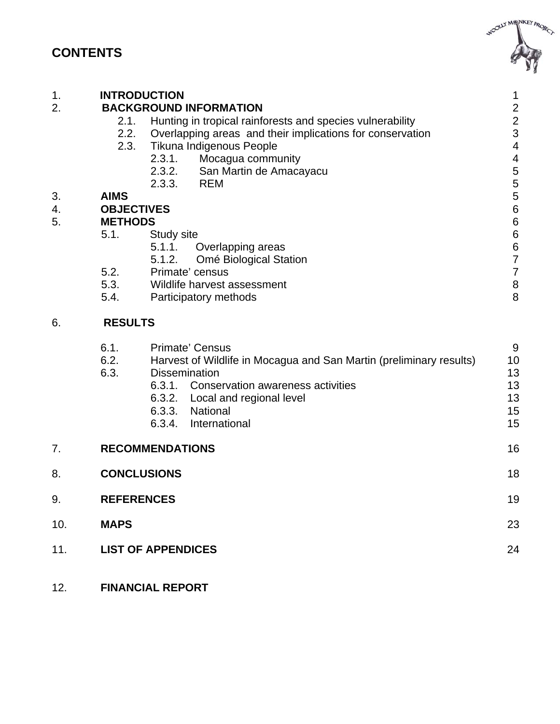## **CONTENTS**



| 1.<br>$\overline{2}$ . | <b>INTRODUCTION</b><br>2.1.<br>2.2.<br>2.3. | <b>BACKGROUND INFORMATION</b><br>Hunting in tropical rainforests and species vulnerability<br>Overlapping areas and their implications for conservation<br>Tikuna Indigenous People<br>2.3.1.<br>Mocagua community<br>$2.3.2.$<br>$2.3.3.$<br>San Martin de Amacayacu<br><b>REM</b> | 1<br>$\overline{\mathbf{c}}$<br>$\frac{2}{3}$<br>$\overline{\mathbf{4}}$<br>$\overline{\mathcal{L}}$<br>$\frac{5}{5}$ |
|------------------------|---------------------------------------------|-------------------------------------------------------------------------------------------------------------------------------------------------------------------------------------------------------------------------------------------------------------------------------------|-----------------------------------------------------------------------------------------------------------------------|
| 3.                     | <b>AIMS</b>                                 |                                                                                                                                                                                                                                                                                     |                                                                                                                       |
| 4.                     | <b>OBJECTIVES</b>                           |                                                                                                                                                                                                                                                                                     | $\frac{5}{6}$                                                                                                         |
| 5.                     | <b>METHODS</b>                              |                                                                                                                                                                                                                                                                                     | $\overline{6}$                                                                                                        |
|                        | 5.1.                                        | Study site                                                                                                                                                                                                                                                                          |                                                                                                                       |
|                        |                                             | 5.1.1.<br>Overlapping areas                                                                                                                                                                                                                                                         | $\begin{array}{c} 6 \\ 6 \end{array}$                                                                                 |
|                        |                                             | 5.1.2.<br>Omé Biological Station                                                                                                                                                                                                                                                    | $\overline{7}$                                                                                                        |
|                        | 5.2.                                        | Primate' census                                                                                                                                                                                                                                                                     | $\overline{7}$                                                                                                        |
|                        | 5.3.                                        | Wildlife harvest assessment                                                                                                                                                                                                                                                         | $\begin{array}{c} 8 \\ 8 \end{array}$                                                                                 |
|                        | 5.4.                                        | Participatory methods                                                                                                                                                                                                                                                               |                                                                                                                       |
| 6.                     | <b>RESULTS</b>                              |                                                                                                                                                                                                                                                                                     |                                                                                                                       |
|                        | 6.1.<br>6.2.<br>6.3.                        | <b>Primate' Census</b><br>Harvest of Wildlife in Mocagua and San Martin (preliminary results)<br><b>Dissemination</b><br>6.3.1. Conservation awareness activities<br>6.3.2. Local and regional level<br>6.3.3. National<br>6.3.4. International                                     | 9<br>10<br>13<br>13<br>13<br>15<br>15                                                                                 |
| 7.                     |                                             | <b>RECOMMENDATIONS</b>                                                                                                                                                                                                                                                              | 16                                                                                                                    |
| 8.                     | <b>CONCLUSIONS</b>                          |                                                                                                                                                                                                                                                                                     | 18                                                                                                                    |
| 9.                     | <b>REFERENCES</b>                           |                                                                                                                                                                                                                                                                                     | 19                                                                                                                    |

- 10. **MAPS** 23
- 11. **LIST OF APPENDICES** 24
- 12. **FINANCIAL REPORT**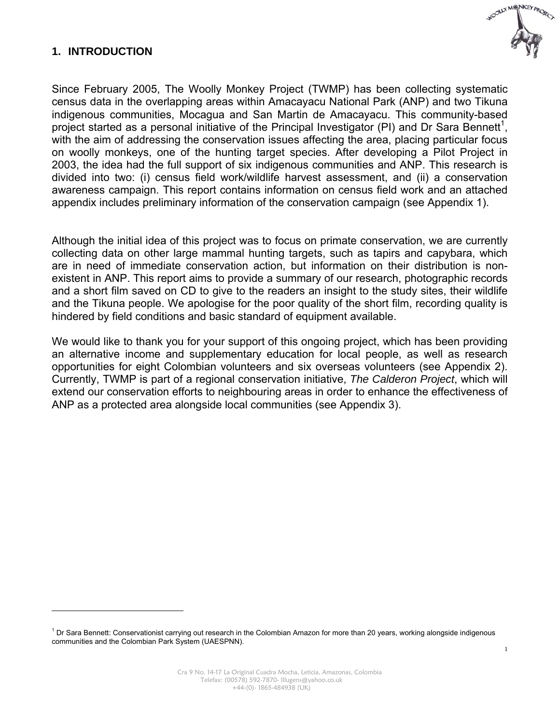#### **1. INTRODUCTION**

 $\overline{a}$ 



Since February 2005, The Woolly Monkey Project (TWMP) has been collecting systematic census data in the overlapping areas within Amacayacu National Park (ANP) and two Tikuna indigenous communities, Mocagua and San Martin de Amacayacu. This community-based project started as a personal initiative of the Principal Investigator (PI) and Dr Sara Bennett<sup>1</sup>, with the aim of addressing the conservation issues affecting the area, placing particular focus on woolly monkeys, one of the hunting target species. After developing a Pilot Project in 2003, the idea had the full support of six indigenous communities and ANP. This research is divided into two: (i) census field work/wildlife harvest assessment, and (ii) a conservation awareness campaign. This report contains information on census field work and an attached appendix includes preliminary information of the conservation campaign (see Appendix 1).

Although the initial idea of this project was to focus on primate conservation, we are currently collecting data on other large mammal hunting targets, such as tapirs and capybara, which are in need of immediate conservation action, but information on their distribution is nonexistent in ANP. This report aims to provide a summary of our research, photographic records and a short film saved on CD to give to the readers an insight to the study sites, their wildlife and the Tikuna people. We apologise for the poor quality of the short film, recording quality is hindered by field conditions and basic standard of equipment available.

We would like to thank you for your support of this ongoing project, which has been providing an alternative income and supplementary education for local people, as well as research opportunities for eight Colombian volunteers and six overseas volunteers (see Appendix 2). Currently, TWMP is part of a regional conservation initiative, *The Calderon Project*, which will extend our conservation efforts to neighbouring areas in order to enhance the effectiveness of ANP as a protected area alongside local communities (see Appendix 3).

<sup>&</sup>lt;sup>1</sup> Dr Sara Bennett: Conservationist carrying out research in the Colombian Amazon for more than 20 years, working alongside indigenous communities and the Colombian Park System (UAESPNN).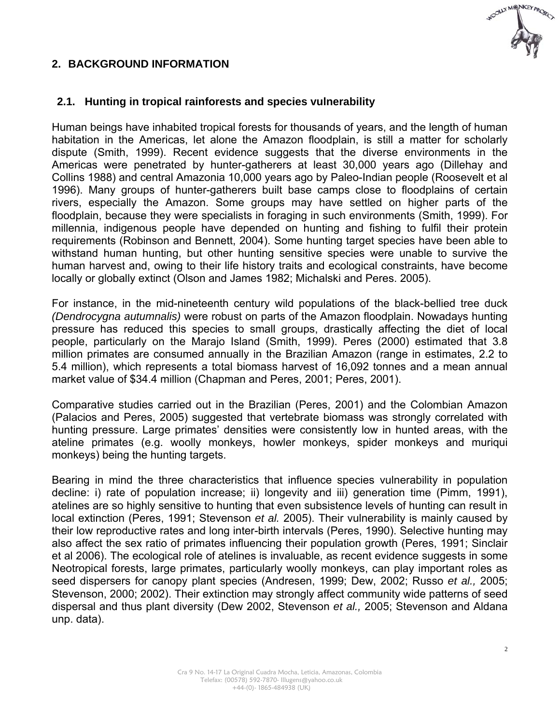

#### **2. BACKGROUND INFORMATION**

#### **2.1. Hunting in tropical rainforests and species vulnerability**

Human beings have inhabited tropical forests for thousands of years, and the length of human habitation in the Americas, let alone the Amazon floodplain, is still a matter for scholarly dispute (Smith, 1999). Recent evidence suggests that the diverse environments in the Americas were penetrated by hunter-gatherers at least 30,000 years ago (Dillehay and Collins 1988) and central Amazonia 10,000 years ago by Paleo-Indian people (Roosevelt et al 1996). Many groups of hunter-gatherers built base camps close to floodplains of certain rivers, especially the Amazon. Some groups may have settled on higher parts of the floodplain, because they were specialists in foraging in such environments (Smith, 1999). For millennia, indigenous people have depended on hunting and fishing to fulfil their protein requirements (Robinson and Bennett, 2004). Some hunting target species have been able to withstand human hunting, but other hunting sensitive species were unable to survive the human harvest and, owing to their life history traits and ecological constraints, have become locally or globally extinct (Olson and James 1982; Michalski and Peres. 2005).

For instance, in the mid-nineteenth century wild populations of the black-bellied tree duck *(Dendrocygna autumnalis)* were robust on parts of the Amazon floodplain. Nowadays hunting pressure has reduced this species to small groups, drastically affecting the diet of local people, particularly on the Marajo Island (Smith, 1999). Peres (2000) estimated that 3.8 million primates are consumed annually in the Brazilian Amazon (range in estimates, 2.2 to 5.4 million), which represents a total biomass harvest of 16,092 tonnes and a mean annual market value of \$34.4 million (Chapman and Peres, 2001; Peres, 2001).

Comparative studies carried out in the Brazilian (Peres, 2001) and the Colombian Amazon (Palacios and Peres, 2005) suggested that vertebrate biomass was strongly correlated with hunting pressure. Large primates' densities were consistently low in hunted areas, with the ateline primates (e.g. woolly monkeys, howler monkeys, spider monkeys and muriqui monkeys) being the hunting targets.

Bearing in mind the three characteristics that influence species vulnerability in population decline: i) rate of population increase; ii) longevity and iii) generation time (Pimm, 1991), atelines are so highly sensitive to hunting that even subsistence levels of hunting can result in local extinction (Peres, 1991; Stevenson *et al.* 2005). Their vulnerability is mainly caused by their low reproductive rates and long inter-birth intervals (Peres, 1990). Selective hunting may also affect the sex ratio of primates influencing their population growth (Peres, 1991; Sinclair et al 2006). The ecological role of atelines is invaluable, as recent evidence suggests in some Neotropical forests, large primates, particularly woolly monkeys, can play important roles as seed dispersers for canopy plant species (Andresen, 1999; Dew, 2002; Russo *et al.,* 2005; Stevenson, 2000; 2002). Their extinction may strongly affect community wide patterns of seed dispersal and thus plant diversity (Dew 2002, Stevenson *et al.,* 2005; Stevenson and Aldana unp. data).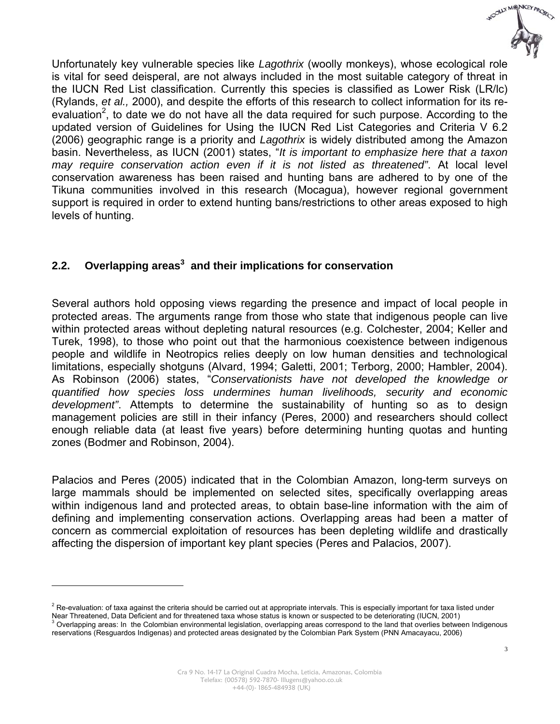

Unfortunately key vulnerable species like *Lagothrix* (woolly monkeys), whose ecological role is vital for seed deisperal, are not always included in the most suitable category of threat in the IUCN Red List classification. Currently this species is classified as Lower Risk (LR/lc) (Rylands, *et al.,* 2000), and despite the efforts of this research to collect information for its reevaluation<sup>2</sup>, to date we do not have all the data required for such purpose. According to the updated version of Guidelines for Using the IUCN Red List Categories and Criteria V 6.2 (2006) geographic range is a priority and *Lagothrix* is widely distributed among the Amazon basin. Nevertheless, as IUCN (2001) states, "*It is important to emphasize here that a taxon may require conservation action even if it is not listed as threatened"*. At local level conservation awareness has been raised and hunting bans are adhered to by one of the Tikuna communities involved in this research (Mocagua), however regional government support is required in order to extend hunting bans/restrictions to other areas exposed to high levels of hunting.

#### **2.2. Overlapping areas<sup>3</sup> and their implications for conservation**

Several authors hold opposing views regarding the presence and impact of local people in protected areas. The arguments range from those who state that indigenous people can live within protected areas without depleting natural resources (e.g. Colchester, 2004; Keller and Turek, 1998), to those who point out that the harmonious coexistence between indigenous people and wildlife in Neotropics relies deeply on low human densities and technological limitations, especially shotguns (Alvard, 1994; Galetti, 2001; Terborg, 2000; Hambler, 2004). As Robinson (2006) states, "*Conservationists have not developed the knowledge or quantified how species loss undermines human livelihoods, security and economic development"*. Attempts to determine the sustainability of hunting so as to design management policies are still in their infancy (Peres, 2000) and researchers should collect enough reliable data (at least five years) before determining hunting quotas and hunting zones (Bodmer and Robinson, 2004).

Palacios and Peres (2005) indicated that in the Colombian Amazon, long-term surveys on large mammals should be implemented on selected sites, specifically overlapping areas within indigenous land and protected areas, to obtain base-line information with the aim of defining and implementing conservation actions. Overlapping areas had been a matter of concern as commercial exploitation of resources has been depleting wildlife and drastically affecting the dispersion of important key plant species (Peres and Palacios, 2007).

 $\overline{a}$ 

 $^2$  Re-evaluation: of taxa against the criteria should be carried out at appropriate intervals. This is especially important for taxa listed under

Near Threatened, Data Deficient and for threatened taxa whose status is known or suspected to be deteriorating (IUCN, 2001) 3 Overlapping areas: In the Colombian environmental legislation, overlapping areas correspond to the land that overlies between Indigenous

reservations (Resguardos Indigenas) and protected areas designated by the Colombian Park System (PNN Amacayacu, 2006)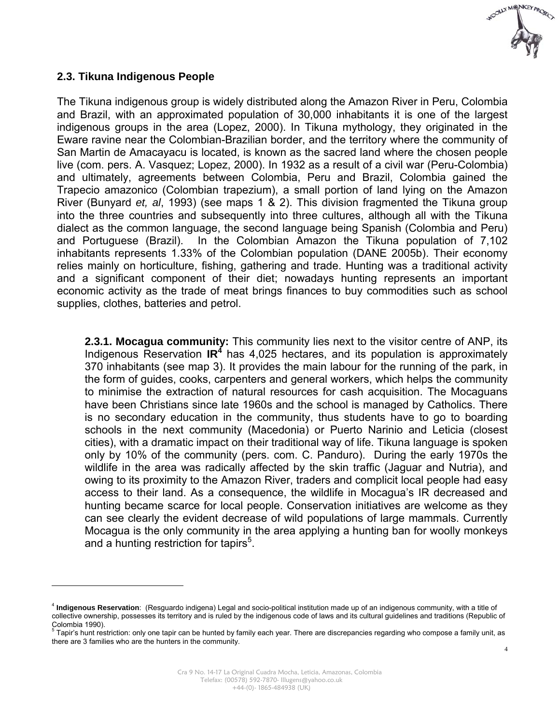

#### **2.3. Tikuna Indigenous People**

 $\overline{a}$ 

The Tikuna indigenous group is widely distributed along the Amazon River in Peru, Colombia and Brazil, with an approximated population of 30,000 inhabitants it is one of the largest indigenous groups in the area (Lopez, 2000). In Tikuna mythology, they originated in the Eware ravine near the Colombian-Brazilian border, and the territory where the community of San Martin de Amacayacu is located, is known as the sacred land where the chosen people live (com. pers. A. Vasquez; Lopez, 2000). In 1932 as a result of a civil war (Peru-Colombia) and ultimately, agreements between Colombia, Peru and Brazil, Colombia gained the Trapecio amazonico (Colombian trapezium), a small portion of land lying on the Amazon River (Bunyard *et, al*, 1993) (see maps 1 & 2). This division fragmented the Tikuna group into the three countries and subsequently into three cultures, although all with the Tikuna dialect as the common language, the second language being Spanish (Colombia and Peru) and Portuguese (Brazil). In the Colombian Amazon the Tikuna population of 7,102 inhabitants represents 1.33% of the Colombian population (DANE 2005b). Their economy relies mainly on horticulture, fishing, gathering and trade. Hunting was a traditional activity and a significant component of their diet; nowadays hunting represents an important economic activity as the trade of meat brings finances to buy commodities such as school supplies, clothes, batteries and petrol.

**2.3.1. Mocagua community:** This community lies next to the visitor centre of ANP, its Indigenous Reservation IR<sup>4</sup> has 4,025 hectares, and its population is approximately 370 inhabitants (see map 3). It provides the main labour for the running of the park, in the form of guides, cooks, carpenters and general workers, which helps the community to minimise the extraction of natural resources for cash acquisition. The Mocaguans have been Christians since late 1960s and the school is managed by Catholics. There is no secondary education in the community, thus students have to go to boarding schools in the next community (Macedonia) or Puerto Narinio and Leticia (closest cities), with a dramatic impact on their traditional way of life. Tikuna language is spoken only by 10% of the community (pers. com. C. Panduro). During the early 1970s the wildlife in the area was radically affected by the skin traffic (Jaguar and Nutria), and owing to its proximity to the Amazon River, traders and complicit local people had easy access to their land. As a consequence, the wildlife in Mocagua's IR decreased and hunting became scarce for local people. Conservation initiatives are welcome as they can see clearly the evident decrease of wild populations of large mammals. Currently Mocagua is the only community in the area applying a hunting ban for woolly monkeys and a hunting restriction for tapirs<sup>5</sup>.

<sup>4</sup> **Indigenous Reservation**: (Resguardo indigena) Legal and socio-political institution made up of an indigenous community, with a title of collective ownership, possesses its territory and is ruled by the indigenous code of laws and its cultural guidelines and traditions (Republic of Colombia 1990).<br><sup>5</sup> Tanir'e bunt reei

Tapir's hunt restriction: only one tapir can be hunted by family each year. There are discrepancies regarding who compose a family unit, as there are 3 families who are the hunters in the community.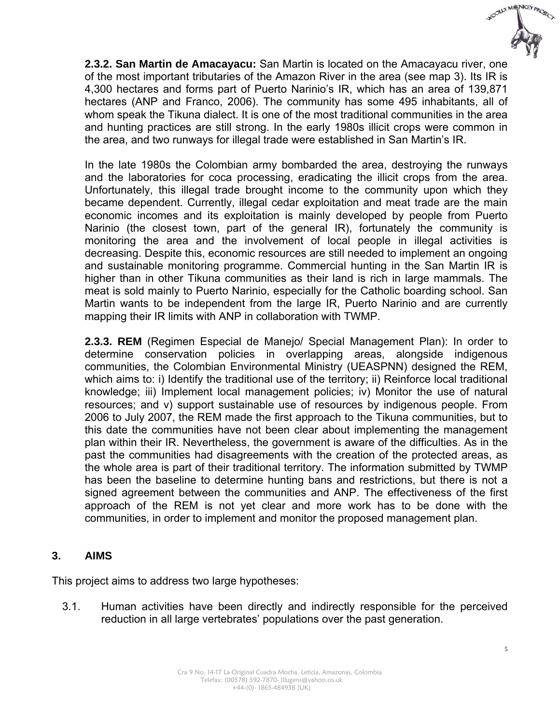

**2.3.2. San Martin de Amacayacu:** San Martin is located on the Amacayacu river, one of the most important tributaries of the Amazon River in the area (see map 3). Its IR is 4,300 hectares and forms part of Puerto Narinio's IR, which has an area of 139,871 hectares (ANP and Franco, 2006). The community has some 495 inhabitants, all of whom speak the Tikuna dialect. It is one of the most traditional communities in the area and hunting practices are still strong. In the early 1980s illicit crops were common in the area, and two runways for illegal trade were established in San Martin's IR.

In the late 1980s the Colombian army bombarded the area, destroying the runways and the laboratories for coca processing, eradicating the illicit crops from the area. Unfortunately, this illegal trade brought income to the community upon which they became dependent. Currently, illegal cedar exploitation and meat trade are the main economic incomes and its exploitation is mainly developed by people from Puerto Narinio (the closest town, part of the general IR), fortunately the community is monitoring the area and the involvement of local people in illegal activities is decreasing. Despite this, economic resources are still needed to implement an ongoing and sustainable monitoring programme. Commercial hunting in the San Martin IR is higher than in other Tikuna communities as their land is rich in large mammals. The meat is sold mainly to Puerto Narinio, especially for the Catholic boarding school. San Martin wants to be independent from the large IR, Puerto Narinio and are currently mapping their IR limits with ANP in collaboration with TWMP.

**2.3.3. REM** (Regimen Especial de Manejo/ Special Management Plan): In order to determine conservation policies in overlapping areas, alongside indigenous communities, the Colombian Environmental Ministry (UEASPNN) designed the REM, which aims to: i) Identify the traditional use of the territory; ii) Reinforce local traditional knowledge; iii) Implement local management policies; iv) Monitor the use of natural resources; and v) support sustainable use of resources by indigenous people. From 2006 to July 2007, the REM made the first approach to the Tikuna communities, but to this date the communities have not been clear about implementing the management plan within their IR. Nevertheless, the government is aware of the difficulties. As in the past the communities had disagreements with the creation of the protected areas, as the whole area is part of their traditional territory. The information submitted by TWMP has been the baseline to determine hunting bans and restrictions, but there is not a signed agreement between the communities and ANP. The effectiveness of the first approach of the REM is not yet clear and more work has to be done with the communities, in order to implement and monitor the proposed management plan.

#### **3. AIMS**

This project aims to address two large hypotheses:

3.1. Human activities have been directly and indirectly responsible for the perceived reduction in all large vertebrates' populations over the past generation.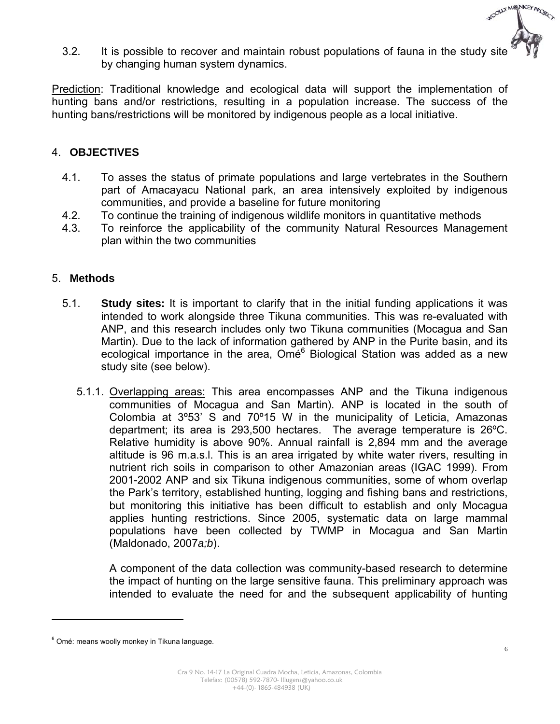

3.2. It is possible to recover and maintain robust populations of fauna in the study site by changing human system dynamics.

Prediction: Traditional knowledge and ecological data will support the implementation of hunting bans and/or restrictions, resulting in a population increase. The success of the hunting bans/restrictions will be monitored by indigenous people as a local initiative.

#### 4. **OBJECTIVES**

- 4.1. To asses the status of primate populations and large vertebrates in the Southern part of Amacayacu National park, an area intensively exploited by indigenous communities, and provide a baseline for future monitoring
- 4.2. To continue the training of indigenous wildlife monitors in quantitative methods
- 4.3. To reinforce the applicability of the community Natural Resources Management plan within the two communities

#### 5. **Methods**

- 5.1. **Study sites:** It is important to clarify that in the initial funding applications it was intended to work alongside three Tikuna communities. This was re-evaluated with ANP, and this research includes only two Tikuna communities (Mocagua and San Martin). Due to the lack of information gathered by ANP in the Purite basin, and its ecological importance in the area, Omé<sup>6</sup> Biological Station was added as a new study site (see below).
	- 5.1.1. Overlapping areas: This area encompasses ANP and the Tikuna indigenous communities of Mocagua and San Martin). ANP is located in the south of Colombia at 3º53' S and 70º15 W in the municipality of Leticia, Amazonas department; its area is 293,500 hectares. The average temperature is 26ºC. Relative humidity is above 90%. Annual rainfall is 2,894 mm and the average altitude is 96 m.a.s.l. This is an area irrigated by white water rivers, resulting in nutrient rich soils in comparison to other Amazonian areas (IGAC 1999). From 2001-2002 ANP and six Tikuna indigenous communities, some of whom overlap the Park's territory, established hunting, logging and fishing bans and restrictions, but monitoring this initiative has been difficult to establish and only Mocagua applies hunting restrictions. Since 2005, systematic data on large mammal populations have been collected by TWMP in Mocagua and San Martin (Maldonado, 2007*a;b*).

A component of the data collection was community-based research to determine the impact of hunting on the large sensitive fauna. This preliminary approach was intended to evaluate the need for and the subsequent applicability of hunting

 $\overline{a}$ 

<sup>&</sup>lt;sup>6</sup> Omé: means woolly monkey in Tikuna language.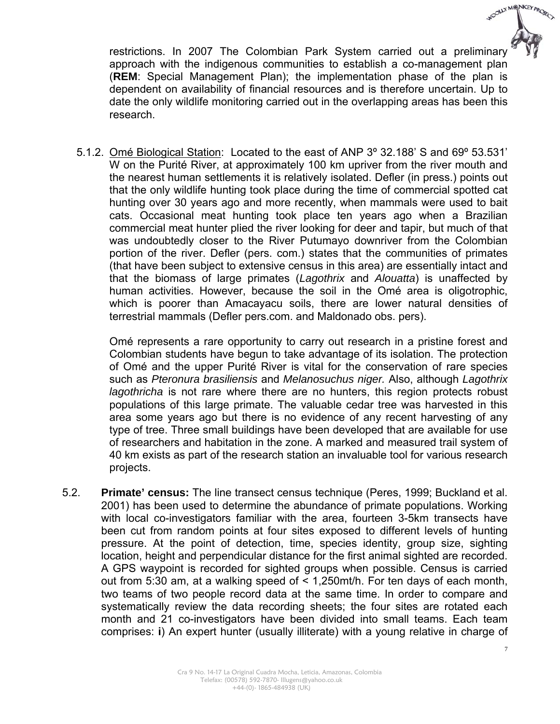

restrictions. In 2007 The Colombian Park System carried out a preliminary approach with the indigenous communities to establish a co-management plan (**REM**: Special Management Plan); the implementation phase of the plan is dependent on availability of financial resources and is therefore uncertain. Up to date the only wildlife monitoring carried out in the overlapping areas has been this research.

5.1.2. Omé Biological Station: Located to the east of ANP 3º 32.188' S and 69º 53.531' W on the Purité River, at approximately 100 km upriver from the river mouth and the nearest human settlements it is relatively isolated. Defler (in press.) points out that the only wildlife hunting took place during the time of commercial spotted cat hunting over 30 years ago and more recently, when mammals were used to bait cats. Occasional meat hunting took place ten years ago when a Brazilian commercial meat hunter plied the river looking for deer and tapir, but much of that was undoubtedly closer to the River Putumayo downriver from the Colombian portion of the river. Defler (pers. com.) states that the communities of primates (that have been subject to extensive census in this area) are essentially intact and that the biomass of large primates (*Lagothrix* and *Alouatta*) is unaffected by human activities. However, because the soil in the Omé area is oligotrophic, which is poorer than Amacayacu soils, there are lower natural densities of terrestrial mammals (Defler pers.com. and Maldonado obs. pers).

Omé represents a rare opportunity to carry out research in a pristine forest and Colombian students have begun to take advantage of its isolation. The protection of Omé and the upper Purité River is vital for the conservation of rare species such as *Pteronura brasiliensis* and *Melanosuchus niger.* Also, although *Lagothrix lagothricha* is not rare where there are no hunters, this region protects robust populations of this large primate. The valuable cedar tree was harvested in this area some years ago but there is no evidence of any recent harvesting of any type of tree. Three small buildings have been developed that are available for use of researchers and habitation in the zone. A marked and measured trail system of 40 km exists as part of the research station an invaluable tool for various research projects.

5.2. **Primate' census:** The line transect census technique (Peres, 1999; Buckland et al. 2001) has been used to determine the abundance of primate populations. Working with local co-investigators familiar with the area, fourteen 3-5km transects have been cut from random points at four sites exposed to different levels of hunting pressure. At the point of detection, time, species identity, group size, sighting location, height and perpendicular distance for the first animal sighted are recorded. A GPS waypoint is recorded for sighted groups when possible. Census is carried out from 5:30 am, at a walking speed of < 1,250mt/h. For ten days of each month, two teams of two people record data at the same time. In order to compare and systematically review the data recording sheets; the four sites are rotated each month and 21 co-investigators have been divided into small teams. Each team comprises: **i**) An expert hunter (usually illiterate) with a young relative in charge of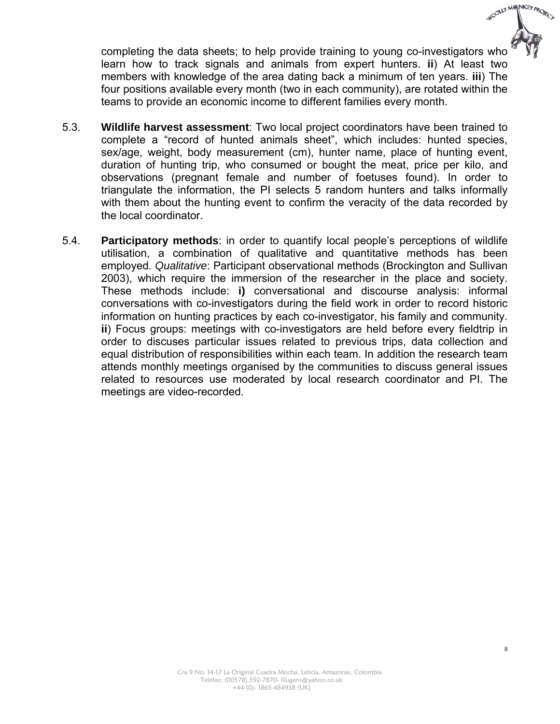completing the data sheets; to help provide training to young co-investigators who learn how to track signals and animals from expert hunters. **ii**) At least two members with knowledge of the area dating back a minimum of ten years. **iii**) The four positions available every month (two in each community), are rotated within the teams to provide an economic income to different families every month.

- 5.3. **Wildlife harvest assessment**: Two local project coordinators have been trained to complete a "record of hunted animals sheet", which includes: hunted species, sex/age, weight, body measurement (cm), hunter name, place of hunting event, duration of hunting trip, who consumed or bought the meat, price per kilo, and observations (pregnant female and number of foetuses found). In order to triangulate the information, the PI selects 5 random hunters and talks informally with them about the hunting event to confirm the veracity of the data recorded by the local coordinator.
- 5.4. **Participatory methods**: in order to quantify local people's perceptions of wildlife utilisation, a combination of qualitative and quantitative methods has been employed. *Qualitative*: Participant observational methods (Brockington and Sullivan 2003), which require the immersion of the researcher in the place and society. These methods include: **i)** conversational and discourse analysis: informal conversations with co-investigators during the field work in order to record historic information on hunting practices by each co-investigator, his family and community. **ii**) Focus groups: meetings with co-investigators are held before every fieldtrip in order to discuses particular issues related to previous trips, data collection and equal distribution of responsibilities within each team. In addition the research team attends monthly meetings organised by the communities to discuss general issues related to resources use moderated by local research coordinator and PI. The meetings are video-recorded.

WOOLLY MONKEY PROJECT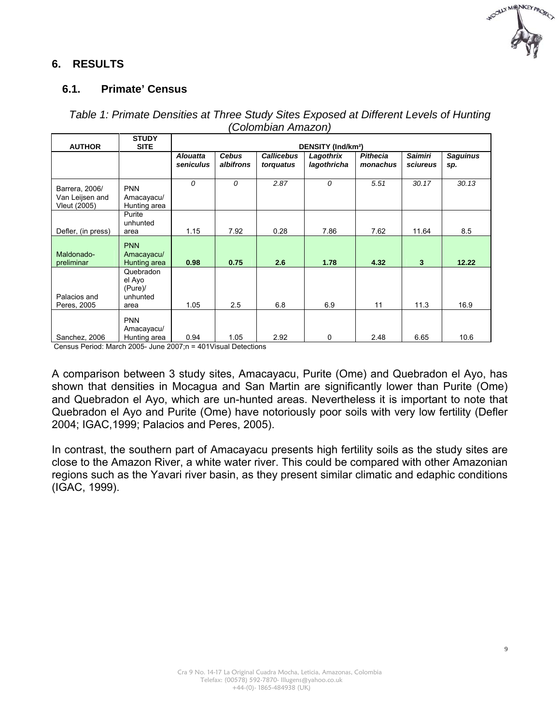

#### **6. RESULTS**

#### **6.1. Primate' Census**

| <b>STUDY</b><br><b>AUTHOR</b><br><b>SITE</b>      |                                                   | <b>DENSITY (Ind/km<sup>2</sup>)</b> |                           |                                |                          |                      |                            |                        |
|---------------------------------------------------|---------------------------------------------------|-------------------------------------|---------------------------|--------------------------------|--------------------------|----------------------|----------------------------|------------------------|
|                                                   |                                                   | <b>Alouatta</b><br>seniculus        | <b>Cebus</b><br>albifrons | <b>Callicebus</b><br>torquatus | Lagothrix<br>lagothricha | Pithecia<br>monachus | <b>Saimiri</b><br>sciureus | <b>Saguinus</b><br>sp. |
| Barrera, 2006/<br>Van Leijsen and<br>Vleut (2005) | <b>PNN</b><br>Amacayacu/<br>Hunting area          | $\mathcal{O}$                       | 0                         | 2.87                           | 0                        | 5.51                 | 30.17                      | 30.13                  |
| Defler, (in press)                                | Purite<br>unhunted<br>area                        | 1.15                                | 7.92                      | 0.28                           | 7.86                     | 7.62                 | 11.64                      | 8.5                    |
| Maldonado-<br>preliminar                          | <b>PNN</b><br>Amacayacu/<br>Hunting area          | 0.98                                | 0.75                      | 2.6                            | 1.78                     | 4.32                 | $\overline{\mathbf{3}}$    | 12.22                  |
| Palacios and<br>Peres, 2005                       | Quebradon<br>el Ayo<br>(Pure)<br>unhunted<br>area | 1.05                                | 2.5                       | 6.8                            | 6.9                      | 11                   | 11.3                       | 16.9                   |
| Sanchez, 2006                                     | <b>PNN</b><br>Amacayacu/<br>Hunting area          | 0.94                                | 1.05                      | 2.92                           | 0                        | 2.48                 | 6.65                       | 10.6                   |

#### *Table 1: Primate Densities at Three Study Sites Exposed at Different Levels of Hunting (Colombian Amazon)*

Census Period: March 2005- June 2007;n = 401Visual Detections

A comparison between 3 study sites, Amacayacu, Purite (Ome) and Quebradon el Ayo, has shown that densities in Mocagua and San Martin are significantly lower than Purite (Ome) and Quebradon el Ayo, which are un-hunted areas. Nevertheless it is important to note that Quebradon el Ayo and Purite (Ome) have notoriously poor soils with very low fertility (Defler 2004; IGAC,1999; Palacios and Peres, 2005).

In contrast, the southern part of Amacayacu presents high fertility soils as the study sites are close to the Amazon River, a white water river. This could be compared with other Amazonian regions such as the Yavari river basin, as they present similar climatic and edaphic conditions (IGAC, 1999).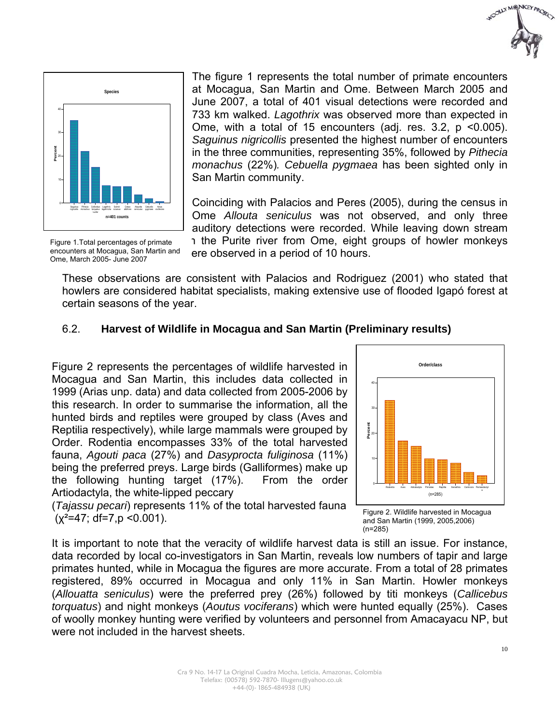



The figure 1 represents the total number of primate encounters at Mocagua, San Martin and Ome. Between March 2005 and June 2007, a total of 401 visual detections were recorded and 733 km walked. *Lagothrix* was observed more than expected in Ome, with a total of 15 encounters (adj. res. 3.2, p <0.005). *Saguinus nigricollis* presented the highest number of encounters in the three communities, representing 35%, followed by *Pithecia monachus* (22%)*. Cebuella pygmaea* has been sighted only in San Martin community.

Coinciding with Palacios and Peres (2005), during the census in Ome *Allouta seniculus* was not observed, and only three auditory detections were recorded. While leaving down stream 1 the Purite river from Ome, eight groups of howler monkeys ere observed in a period of 10 hours.

Figure 1.Total percentages of primate encounters at Mocagua, San Martin and Ome, March 2005- June 2007

These observations are consistent with Palacios and Rodriguez (2001) who stated that howlers are considered habitat specialists, making extensive use of flooded Igapó forest at certain seasons of the year.

#### 6.2. **Harvest of Wildlife in Mocagua and San Martin (Preliminary results)**

Figure 2 represents the percentages of wildlife harvested in Mocagua and San Martin, this includes data collected in 1999 (Arias unp. data) and data collected from 2005-2006 by this research. In order to summarise the information, all the hunted birds and reptiles were grouped by class (Aves and Reptilia respectively), while large mammals were grouped by Order. Rodentia encompasses 33% of the total harvested fauna, *Agouti paca* (27%) and *Dasyprocta fuliginosa* (11%) being the preferred preys. Large birds (Galliformes) make up the following hunting target (17%). From the order Artiodactyla, the white-lipped peccary

(*Tajassu pecari*) represents 11% of the total harvested fauna  $(x^2=47; df=7, p < 0.001)$ .



Figure 2. Wildlife harvested in Mocagua and San Martin (1999, 2005,2006) (n=285)

It is important to note that the veracity of wildlife harvest data is still an issue. For instance, data recorded by local co-investigators in San Martin, reveals low numbers of tapir and large primates hunted, while in Mocagua the figures are more accurate. From a total of 28 primates registered, 89% occurred in Mocagua and only 11% in San Martin. Howler monkeys (*Allouatta seniculus*) were the preferred prey (26%) followed by titi monkeys (*Callicebus torquatus*) and night monkeys (*Aoutus vociferans*) which were hunted equally (25%). Cases of woolly monkey hunting were verified by volunteers and personnel from Amacayacu NP, but were not included in the harvest sheets.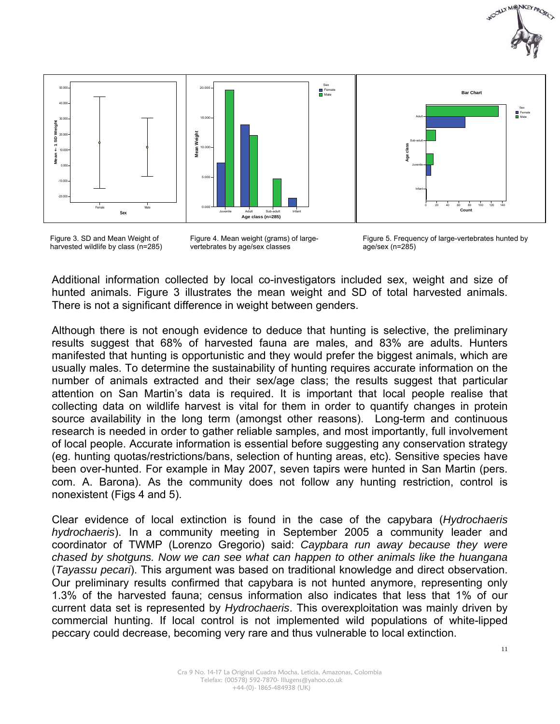



Figure 3. SD and Mean Weight of harvested wildlife by class (n=285)

Figure 4. Mean weight (grams) of largevertebrates by age/sex classes



Additional information collected by local co-investigators included sex, weight and size of hunted animals. Figure 3 illustrates the mean weight and SD of total harvested animals. There is not a significant difference in weight between genders.

Although there is not enough evidence to deduce that hunting is selective, the preliminary results suggest that 68% of harvested fauna are males, and 83% are adults. Hunters manifested that hunting is opportunistic and they would prefer the biggest animals, which are usually males. To determine the sustainability of hunting requires accurate information on the number of animals extracted and their sex/age class; the results suggest that particular attention on San Martin's data is required. It is important that local people realise that collecting data on wildlife harvest is vital for them in order to quantify changes in protein source availability in the long term (amongst other reasons). Long-term and continuous research is needed in order to gather reliable samples, and most importantly, full involvement of local people. Accurate information is essential before suggesting any conservation strategy (eg. hunting quotas/restrictions/bans, selection of hunting areas, etc). Sensitive species have been over-hunted. For example in May 2007, seven tapirs were hunted in San Martin (pers. com. A. Barona). As the community does not follow any hunting restriction, control is nonexistent (Figs 4 and 5).

Clear evidence of local extinction is found in the case of the capybara (*Hydrochaeris hydrochaeris*). In a community meeting in September 2005 a community leader and coordinator of TWMP (Lorenzo Gregorio) said: *Caypbara run away because they were chased by shotguns. Now we can see what can happen to other animals like the huangana*  (*Tayassu pecari*). This argument was based on traditional knowledge and direct observation. Our preliminary results confirmed that capybara is not hunted anymore, representing only 1.3% of the harvested fauna; census information also indicates that less that 1% of our current data set is represented by *Hydrochaeris*. This overexploitation was mainly driven by commercial hunting. If local control is not implemented wild populations of white-lipped peccary could decrease, becoming very rare and thus vulnerable to local extinction.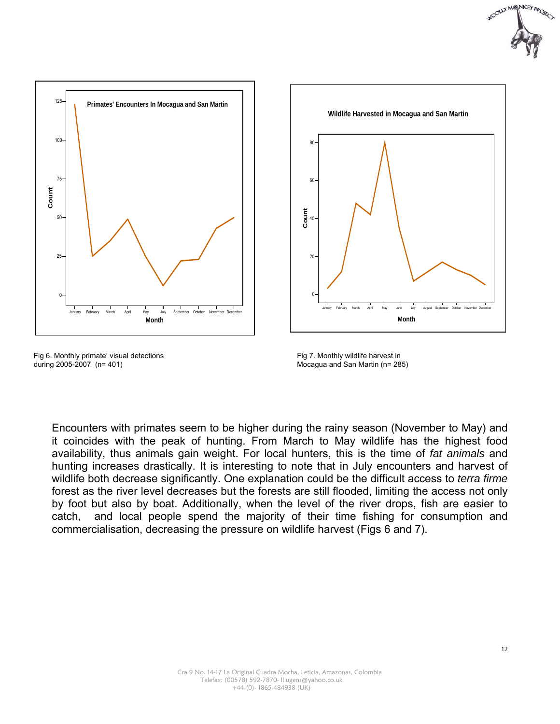



Fig 6. Monthly primate' visual detections during 2005-2007 (n= 401)





Encounters with primates seem to be higher during the rainy season (November to May) and it coincides with the peak of hunting. From March to May wildlife has the highest food availability, thus animals gain weight. For local hunters, this is the time of *fat animals* and hunting increases drastically. It is interesting to note that in July encounters and harvest of wildlife both decrease significantly. One explanation could be the difficult access to *terra firme* forest as the river level decreases but the forests are still flooded, limiting the access not only by foot but also by boat. Additionally, when the level of the river drops, fish are easier to catch, and local people spend the majority of their time fishing for consumption and commercialisation, decreasing the pressure on wildlife harvest (Figs 6 and 7).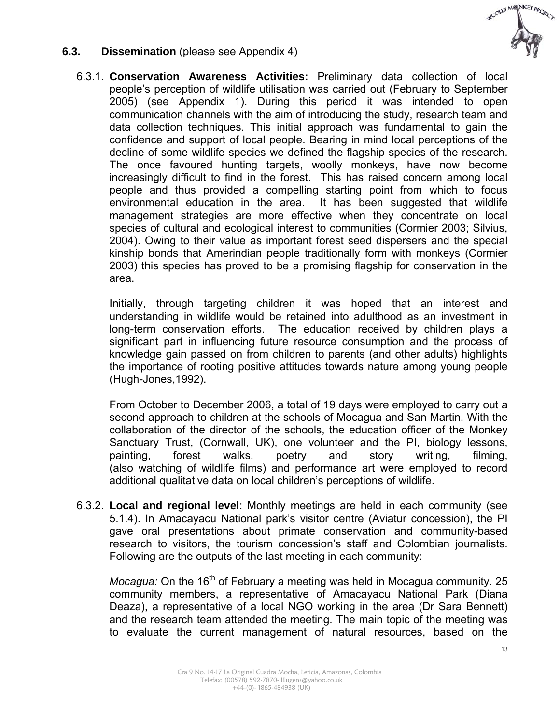

#### **6.3. Dissemination** (please see Appendix 4)

6.3.1. **Conservation Awareness Activities:** Preliminary data collection of local people's perception of wildlife utilisation was carried out (February to September 2005) (see Appendix 1). During this period it was intended to open communication channels with the aim of introducing the study, research team and data collection techniques. This initial approach was fundamental to gain the confidence and support of local people. Bearing in mind local perceptions of the decline of some wildlife species we defined the flagship species of the research. The once favoured hunting targets, woolly monkeys, have now become increasingly difficult to find in the forest. This has raised concern among local people and thus provided a compelling starting point from which to focus environmental education in the area. It has been suggested that wildlife management strategies are more effective when they concentrate on local species of cultural and ecological interest to communities (Cormier 2003; Silvius, 2004). Owing to their value as important forest seed dispersers and the special kinship bonds that Amerindian people traditionally form with monkeys (Cormier 2003) this species has proved to be a promising flagship for conservation in the area.

Initially, through targeting children it was hoped that an interest and understanding in wildlife would be retained into adulthood as an investment in long-term conservation efforts. The education received by children plays a significant part in influencing future resource consumption and the process of knowledge gain passed on from children to parents (and other adults) highlights the importance of rooting positive attitudes towards nature among young people (Hugh-Jones,1992).

From October to December 2006, a total of 19 days were employed to carry out a second approach to children at the schools of Mocagua and San Martin. With the collaboration of the director of the schools, the education officer of the Monkey Sanctuary Trust, (Cornwall, UK), one volunteer and the PI, biology lessons, painting, forest walks, poetry and story writing, filming, (also watching of wildlife films) and performance art were employed to record additional qualitative data on local children's perceptions of wildlife.

6.3.2. **Local and regional level**: Monthly meetings are held in each community (see 5.1.4). In Amacayacu National park's visitor centre (Aviatur concession), the PI gave oral presentations about primate conservation and community-based research to visitors, the tourism concession's staff and Colombian journalists. Following are the outputs of the last meeting in each community:

*Mocagua:* On the 16<sup>th</sup> of February a meeting was held in Mocagua community. 25 community members, a representative of Amacayacu National Park (Diana Deaza), a representative of a local NGO working in the area (Dr Sara Bennett) and the research team attended the meeting. The main topic of the meeting was to evaluate the current management of natural resources, based on the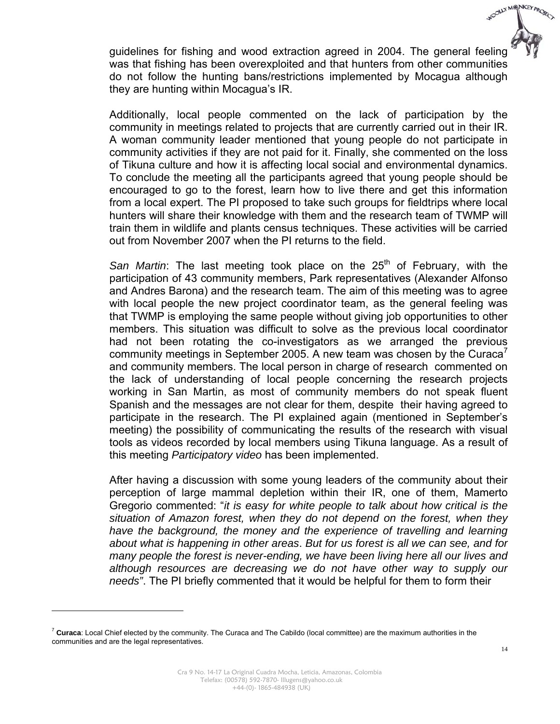guidelines for fishing and wood extraction agreed in 2004. The general feeling was that fishing has been overexploited and that hunters from other communities do not follow the hunting bans/restrictions implemented by Mocagua although they are hunting within Mocagua's IR.

Additionally, local people commented on the lack of participation by the community in meetings related to projects that are currently carried out in their IR. A woman community leader mentioned that young people do not participate in community activities if they are not paid for it. Finally, she commented on the loss of Tikuna culture and how it is affecting local social and environmental dynamics. To conclude the meeting all the participants agreed that young people should be encouraged to go to the forest, learn how to live there and get this information from a local expert. The PI proposed to take such groups for fieldtrips where local hunters will share their knowledge with them and the research team of TWMP will train them in wildlife and plants census techniques. These activities will be carried out from November 2007 when the PI returns to the field.

San Martin: The last meeting took place on the 25<sup>th</sup> of February, with the participation of 43 community members, Park representatives (Alexander Alfonso and Andres Barona) and the research team. The aim of this meeting was to agree with local people the new project coordinator team, as the general feeling was that TWMP is employing the same people without giving job opportunities to other members. This situation was difficult to solve as the previous local coordinator had not been rotating the co-investigators as we arranged the previous community meetings in September 2005. A new team was chosen by the Curaca<sup> $\prime$ </sup> and community members. The local person in charge of research commented on the lack of understanding of local people concerning the research projects working in San Martin, as most of community members do not speak fluent Spanish and the messages are not clear for them, despite their having agreed to participate in the research. The PI explained again (mentioned in September's meeting) the possibility of communicating the results of the research with visual tools as videos recorded by local members using Tikuna language. As a result of this meeting *Participatory video* has been implemented.

After having a discussion with some young leaders of the community about their perception of large mammal depletion within their IR, one of them, Mamerto Gregorio commented: "*it is easy for white people to talk about how critical is the situation of Amazon forest, when they do not depend on the forest, when they have the background, the money and the experience of travelling and learning about what is happening in other areas*. *But for us forest is all we can see, and for many people the forest is never-ending, we have been living here all our lives and although resources are decreasing we do not have other way to supply our needs"*. The PI briefly commented that it would be helpful for them to form their

 $\overline{a}$ 

WOOLLY MONKEY PROJECT

<sup>7</sup> **Curaca**: Local Chief elected by the community. The Curaca and The Cabildo (local committee) are the maximum authorities in the communities and are the legal representatives.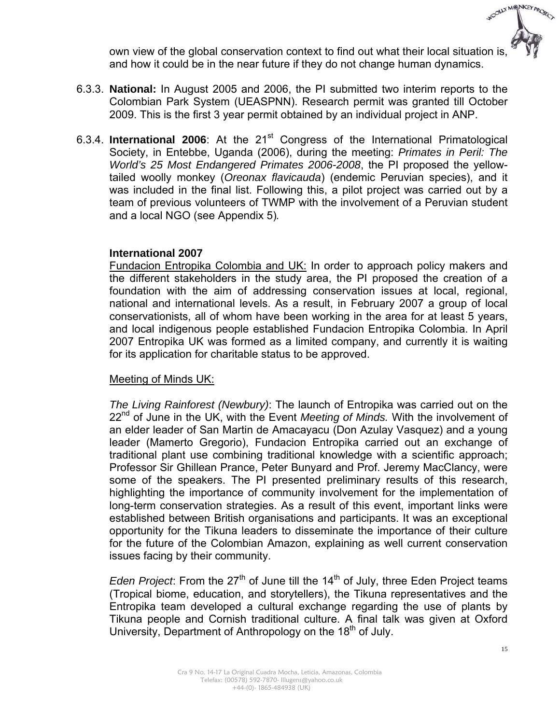

own view of the global conservation context to find out what their local situation is, and how it could be in the near future if they do not change human dynamics.

- 6.3.3. **National:** In August 2005 and 2006, the PI submitted two interim reports to the Colombian Park System (UEASPNN). Research permit was granted till October 2009. This is the first 3 year permit obtained by an individual project in ANP.
- 6.3.4. **International 2006**: At the 21<sup>st</sup> Congress of the International Primatological Society, in Entebbe, Uganda (2006), during the meeting: *Primates in Peril: The World's 25 Most Endangered Primates 2006-2008*, the PI proposed the yellowtailed woolly monkey (*Oreonax flavicauda*) (endemic Peruvian species), and it was included in the final list. Following this, a pilot project was carried out by a team of previous volunteers of TWMP with the involvement of a Peruvian student and a local NGO (see Appendix 5)*.*

#### **International 2007**

Fundacion Entropika Colombia and UK: In order to approach policy makers and the different stakeholders in the study area, the PI proposed the creation of a foundation with the aim of addressing conservation issues at local, regional, national and international levels. As a result, in February 2007 a group of local conservationists, all of whom have been working in the area for at least 5 years, and local indigenous people established Fundacion Entropika Colombia. In April 2007 Entropika UK was formed as a limited company, and currently it is waiting for its application for charitable status to be approved.

#### Meeting of Minds UK:

*The Living Rainforest (Newbury)*: The launch of Entropika was carried out on the 22nd of June in the UK, with the Event *Meeting of Minds.* With the involvement of an elder leader of San Martin de Amacayacu (Don Azulay Vasquez) and a young leader (Mamerto Gregorio), Fundacion Entropika carried out an exchange of traditional plant use combining traditional knowledge with a scientific approach; Professor Sir Ghillean Prance, Peter Bunyard and Prof. Jeremy MacClancy, were some of the speakers. The PI presented preliminary results of this research, highlighting the importance of community involvement for the implementation of long-term conservation strategies. As a result of this event, important links were established between British organisations and participants. It was an exceptional opportunity for the Tikuna leaders to disseminate the importance of their culture for the future of the Colombian Amazon, explaining as well current conservation issues facing by their community.

*Eden Project*: From the 27<sup>th</sup> of June till the 14<sup>th</sup> of July, three Eden Project teams (Tropical biome, education, and storytellers), the Tikuna representatives and the Entropika team developed a cultural exchange regarding the use of plants by Tikuna people and Cornish traditional culture. A final talk was given at Oxford University, Department of Anthropology on the 18<sup>th</sup> of July.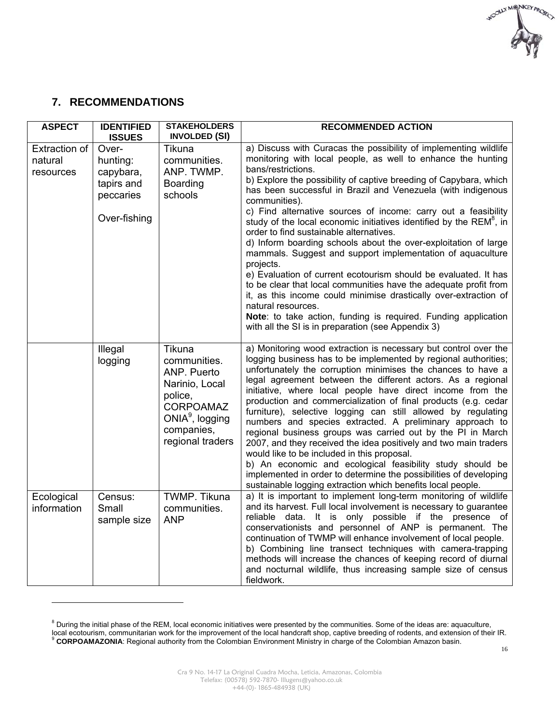

### **7. RECOMMENDATIONS**

 $\overline{a}$ 

| <b>ASPECT</b>                                | <b>IDENTIFIED</b><br><b>ISSUES</b>                                        | <b>STAKEHOLDERS</b><br><b>INVOLDED (SI)</b>                                                                                                     | <b>RECOMMENDED ACTION</b>                                                                                                                                                                                                                                                                                                                                                                                                                                                                                                                                                                                                                                                                                                                                                                                                                                                                                                                                                                                           |
|----------------------------------------------|---------------------------------------------------------------------------|-------------------------------------------------------------------------------------------------------------------------------------------------|---------------------------------------------------------------------------------------------------------------------------------------------------------------------------------------------------------------------------------------------------------------------------------------------------------------------------------------------------------------------------------------------------------------------------------------------------------------------------------------------------------------------------------------------------------------------------------------------------------------------------------------------------------------------------------------------------------------------------------------------------------------------------------------------------------------------------------------------------------------------------------------------------------------------------------------------------------------------------------------------------------------------|
| <b>Extraction of</b><br>natural<br>resources | Over-<br>hunting:<br>capybara,<br>tapirs and<br>peccaries<br>Over-fishing | Tikuna<br>communities.<br>ANP. TWMP.<br><b>Boarding</b><br>schools                                                                              | a) Discuss with Curacas the possibility of implementing wildlife<br>monitoring with local people, as well to enhance the hunting<br>bans/restrictions.<br>b) Explore the possibility of captive breeding of Capybara, which<br>has been successful in Brazil and Venezuela (with indigenous<br>communities).<br>c) Find alternative sources of income: carry out a feasibility<br>study of the local economic initiatives identified by the REM <sup>8</sup> , in<br>order to find sustainable alternatives.<br>d) Inform boarding schools about the over-exploitation of large<br>mammals. Suggest and support implementation of aquaculture<br>projects.<br>e) Evaluation of current ecotourism should be evaluated. It has<br>to be clear that local communities have the adequate profit from<br>it, as this income could minimise drastically over-extraction of<br>natural resources.<br>Note: to take action, funding is required. Funding application<br>with all the SI is in preparation (see Appendix 3) |
|                                              | Illegal<br>logging                                                        | Tikuna<br>communities.<br>ANP. Puerto<br>Narinio, Local<br>police,<br><b>CORPOAMAZ</b><br>ONI $A^9$ , logging<br>companies,<br>regional traders | a) Monitoring wood extraction is necessary but control over the<br>logging business has to be implemented by regional authorities;<br>unfortunately the corruption minimises the chances to have a<br>legal agreement between the different actors. As a regional<br>initiative, where local people have direct income from the<br>production and commercialization of final products (e.g. cedar<br>furniture), selective logging can still allowed by regulating<br>numbers and species extracted. A preliminary approach to<br>regional business groups was carried out by the PI in March<br>2007, and they received the idea positively and two main traders<br>would like to be included in this proposal.<br>b) An economic and ecological feasibility study should be<br>implemented in order to determine the possibilities of developing<br>sustainable logging extraction which benefits local people.                                                                                                   |
| Ecological<br>information                    | Census:<br>Small<br>sample size                                           | TWMP. Tikuna<br>communities.<br><b>ANP</b>                                                                                                      | a) It is important to implement long-term monitoring of wildlife<br>and its harvest. Full local involvement is necessary to guarantee<br>reliable data. It is only possible if the presence of<br>conservationists and personnel of ANP is permanent. The<br>continuation of TWMP will enhance involvement of local people.<br>b) Combining line transect techniques with camera-trapping<br>methods will increase the chances of keeping record of diurnal<br>and nocturnal wildlife, thus increasing sample size of census<br>fieldwork.                                                                                                                                                                                                                                                                                                                                                                                                                                                                          |

 $8$  During the initial phase of the REM, local economic initiatives were presented by the communities. Some of the ideas are: aquaculture, local ecotourism, communitarian work for the improvement of the local handcraft shop, captive breeding of rodents, and extension of their IR.<br><sup>9</sup> CORPOAMAZONIA: Regional authority from the Colombian Environment Ministry in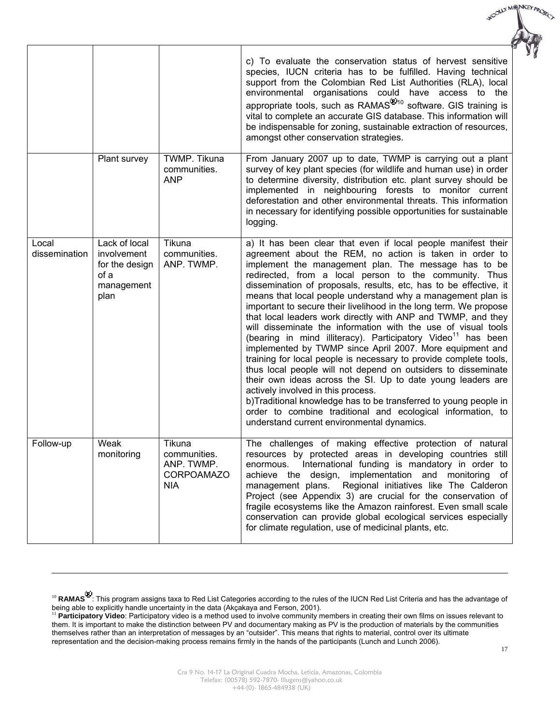|                        |                                                                              |                                                                         | c) To evaluate the conservation status of hervest sensitive<br>species, IUCN criteria has to be fulfilled. Having technical<br>support from the Colombian Red List Authorities (RLA), local<br>environmental organisations could have access to the<br>appropriate tools, such as RAMAS <sup>®10</sup> software. GIS training is<br>vital to complete an accurate GIS database. This information will<br>be indispensable for zoning, sustainable extraction of resources,<br>amongst other conservation strategies.                                                                                                                                                                                                                                                                                                                                                                                                                                                                                                                                                                                                                                     |
|------------------------|------------------------------------------------------------------------------|-------------------------------------------------------------------------|----------------------------------------------------------------------------------------------------------------------------------------------------------------------------------------------------------------------------------------------------------------------------------------------------------------------------------------------------------------------------------------------------------------------------------------------------------------------------------------------------------------------------------------------------------------------------------------------------------------------------------------------------------------------------------------------------------------------------------------------------------------------------------------------------------------------------------------------------------------------------------------------------------------------------------------------------------------------------------------------------------------------------------------------------------------------------------------------------------------------------------------------------------|
|                        | Plant survey                                                                 | <b>TWMP. Tikuna</b><br>communities.<br><b>ANP</b>                       | From January 2007 up to date, TWMP is carrying out a plant<br>survey of key plant species (for wildlife and human use) in order<br>to determine diversity, distribution etc. plant survey should be<br>implemented in neighbouring forests to monitor current<br>deforestation and other environmental threats. This information<br>in necessary for identifying possible opportunities for sustainable<br>logging.                                                                                                                                                                                                                                                                                                                                                                                                                                                                                                                                                                                                                                                                                                                                      |
| Local<br>dissemination | Lack of local<br>involvement<br>for the design<br>of a<br>management<br>plan | Tikuna<br>communities.<br>ANP. TWMP.                                    | a) It has been clear that even if local people manifest their<br>agreement about the REM, no action is taken in order to<br>implement the management plan. The message has to be<br>redirected, from a local person to the community. Thus<br>dissemination of proposals, results, etc, has to be effective, it<br>means that local people understand why a management plan is<br>important to secure their livelihood in the long term. We propose<br>that local leaders work directly with ANP and TWMP, and they<br>will disseminate the information with the use of visual tools<br>(bearing in mind illiteracy). Participatory Video <sup>11</sup> has been<br>implemented by TWMP since April 2007. More equipment and<br>training for local people is necessary to provide complete tools,<br>thus local people will not depend on outsiders to disseminate<br>their own ideas across the SI. Up to date young leaders are<br>actively involved in this process.<br>b)Traditional knowledge has to be transferred to young people in<br>order to combine traditional and ecological information, to<br>understand current environmental dynamics. |
| Follow-up              | Weak<br>monitoring                                                           | Tikuna<br>communities.<br>ANP. TWMP.<br><b>CORPOAMAZO</b><br><b>NIA</b> | The challenges of making effective protection of natural<br>resources by protected areas in developing countries still<br>International funding is mandatory in order to<br>enormous.<br>achieve the<br>design, implementation and monitoring<br>of<br>management plans.<br>Regional initiatives like The Calderon<br>Project (see Appendix 3) are crucial for the conservation of<br>fragile ecosystems like the Amazon rainforest. Even small scale<br>conservation can provide global ecological services especially<br>for climate regulation, use of medicinal plants, etc.                                                                                                                                                                                                                                                                                                                                                                                                                                                                                                                                                                         |

 $\overline{a}$ 

WOOLLY MONKEY PROJECT

<sup>&</sup>lt;sup>10</sup> RAMAS<sup>❤</sup>. This program assigns taxa to Red List Categories according to the rules of the IUCN Red List Criteria and has the advantage of being able to explicitly handle uncertainty in the data (Akçakaya and Ferson, 2001).

<sup>11</sup> **Participatory Video**: Participatory video is a method used to involve community members in creating their own films on issues relevant to them. It is important to make the distinction between PV and documentary making as PV is the production of materials by the communities themselves rather than an interpretation of messages by an "outsider". This means that rights to material, control over its ultimate representation and the decision-making process remains firmly in the hands of the participants (Lunch and Lunch 2006).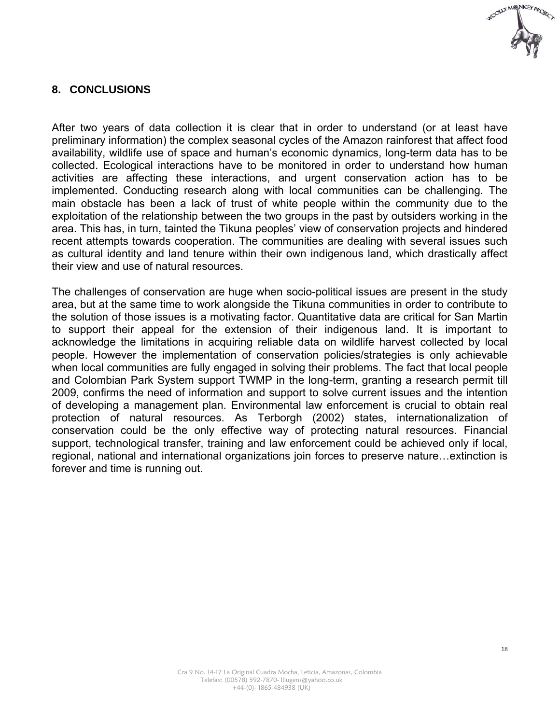

#### **8. CONCLUSIONS**

After two years of data collection it is clear that in order to understand (or at least have preliminary information) the complex seasonal cycles of the Amazon rainforest that affect food availability, wildlife use of space and human's economic dynamics, long-term data has to be collected. Ecological interactions have to be monitored in order to understand how human activities are affecting these interactions, and urgent conservation action has to be implemented. Conducting research along with local communities can be challenging. The main obstacle has been a lack of trust of white people within the community due to the exploitation of the relationship between the two groups in the past by outsiders working in the area. This has, in turn, tainted the Tikuna peoples' view of conservation projects and hindered recent attempts towards cooperation. The communities are dealing with several issues such as cultural identity and land tenure within their own indigenous land, which drastically affect their view and use of natural resources.

The challenges of conservation are huge when socio-political issues are present in the study area, but at the same time to work alongside the Tikuna communities in order to contribute to the solution of those issues is a motivating factor. Quantitative data are critical for San Martin to support their appeal for the extension of their indigenous land. It is important to acknowledge the limitations in acquiring reliable data on wildlife harvest collected by local people. However the implementation of conservation policies/strategies is only achievable when local communities are fully engaged in solving their problems. The fact that local people and Colombian Park System support TWMP in the long-term, granting a research permit till 2009, confirms the need of information and support to solve current issues and the intention of developing a management plan. Environmental law enforcement is crucial to obtain real protection of natural resources. As Terborgh (2002) states, internationalization of conservation could be the only effective way of protecting natural resources. Financial support, technological transfer, training and law enforcement could be achieved only if local, regional, national and international organizations join forces to preserve nature…extinction is forever and time is running out.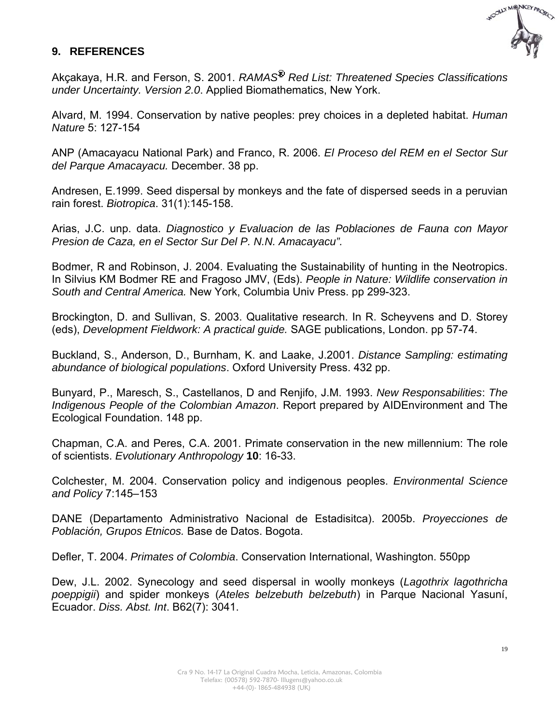

#### **9. REFERENCES**

Akcakaya, H.R. and Ferson, S. 2001. *RAMAS<sup>®</sup> Red List: Threatened Species Classifications under Uncertainty. Version 2.0*. Applied Biomathematics, New York.

Alvard, M. 1994. Conservation by native peoples: prey choices in a depleted habitat. *Human Nature* 5: 127-154

ANP (Amacayacu National Park) and Franco, R. 2006. *El Proceso del REM en el Sector Sur del Parque Amacayacu.* December. 38 pp.

Andresen, E.1999. Seed dispersal by monkeys and the fate of dispersed seeds in a peruvian rain forest. *Biotropica*. 31(1):145-158.

Arias, J.C. unp. data. *Diagnostico y Evaluacion de las Poblaciones de Fauna con Mayor Presion de Caza, en el Sector Sur Del P. N.N. Amacayacu".*

Bodmer, R and Robinson, J. 2004. Evaluating the Sustainability of hunting in the Neotropics. In Silvius KM Bodmer RE and Fragoso JMV, (Eds). *People in Nature: Wildlife conservation in South and Central America.* New York, Columbia Univ Press. pp 299-323.

Brockington, D. and Sullivan, S. 2003. Qualitative research. In R. Scheyvens and D. Storey (eds), *Development Fieldwork: A practical guide.* SAGE publications, London. pp 57-74.

Buckland, S., Anderson, D., Burnham, K. and Laake, J.2001. *Distance Sampling: estimating abundance of biological populations*. Oxford University Press. 432 pp.

Bunyard, P., Maresch, S., Castellanos, D and Renjifo, J.M. 1993. *New Responsabilities*: *The Indigenous People of the Colombian Amazon*. Report prepared by AIDEnvironment and The Ecological Foundation. 148 pp.

Chapman, C.A. and Peres, C.A. 2001. Primate conservation in the new millennium: The role of scientists. *Evolutionary Anthropology* **10**: 16-33.

Colchester, M. 2004. Conservation policy and indigenous peoples. *Environmental Science and Policy* 7:145–153

DANE (Departamento Administrativo Nacional de Estadisitca). 2005b. *Proyecciones de Población, Grupos Etnicos.* Base de Datos. Bogota.

Defler, T. 2004. *Primates of Colombia*. Conservation International, Washington. 550pp

Dew, J.L. 2002. Synecology and seed dispersal in woolly monkeys (*Lagothrix lagothricha poeppigii*) and spider monkeys (*Ateles belzebuth belzebuth*) in Parque Nacional Yasuní, Ecuador. *Diss. Abst. Int*. B62(7): 3041.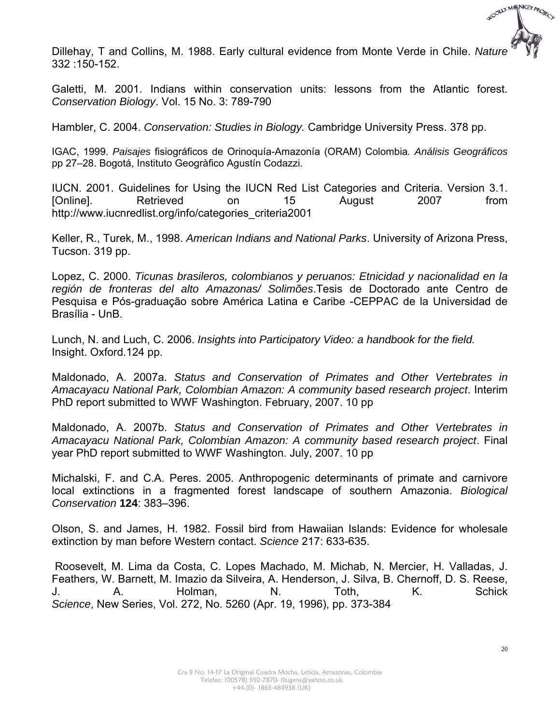

Dillehay, T and Collins, M. 1988. Early cultural evidence from Monte Verde in Chile. *Nature* 332 :150-152.

Galetti, M. 2001. Indians within conservation units: lessons from the Atlantic forest. *Conservation Biology*. Vol. 15 No. 3: 789-790

Hambler, C. 2004. *Conservation: Studies in Biology.* Cambridge University Press. 378 pp.

IGAC, 1999. *Paisajes* fisiográficos de Orinoquía-Amazonía (ORAM) Colombia*. Análisis Geográficos* pp 27–28. Bogotá, Instituto Geogràfico Agustín Codazzi.

IUCN. 2001. Guidelines for Using the IUCN Red List Categories and Criteria. Version 3.1. [Online]. Retrieved on 15 August 2007 from http://www.iucnredlist.org/info/categories\_criteria2001

Keller, R., Turek, M., 1998. *American Indians and National Parks*. University of Arizona Press, Tucson. 319 pp.

Lopez, C. 2000. *Ticunas brasileros, colombianos y peruanos: Etnicidad y nacionalidad en la región de fronteras del alto Amazonas/ Solimões*.Tesis de Doctorado ante Centro de Pesquisa e Pós-graduação sobre América Latina e Caribe -CEPPAC de la Universidad de Brasília - UnB.

Lunch, N. and Luch, C. 2006. *Insights into Participatory Video: a handbook for the field.* Insight. Oxford.124 pp.

Maldonado, A. 2007a. *Status and Conservation of Primates and Other Vertebrates in Amacayacu National Park, Colombian Amazon: A community based research project*. Interim PhD report submitted to WWF Washington. February, 2007. 10 pp

Maldonado, A. 2007b. *Status and Conservation of Primates and Other Vertebrates in Amacayacu National Park, Colombian Amazon: A community based research project*. Final year PhD report submitted to WWF Washington. July, 2007. 10 pp

Michalski, F. and C.A. Peres. 2005. Anthropogenic determinants of primate and carnivore local extinctions in a fragmented forest landscape of southern Amazonia. *Biological Conservation* **124**: 383–396.

Olson, S. and James, H. 1982. Fossil bird from Hawaiian Islands: Evidence for wholesale extinction by man before Western contact. *Science* 217: 633-635.

 Roosevelt, M. Lima da Costa, C. Lopes Machado, M. Michab, N. Mercier, H. Valladas, J. Feathers, W. Barnett, M. Imazio da Silveira, A. Henderson, J. Silva, B. Chernoff, D. S. Reese, J. A. Holman, N. Toth, K. Schick *Science*, New Series, Vol. 272, No. 5260 (Apr. 19, 1996), pp. 373-384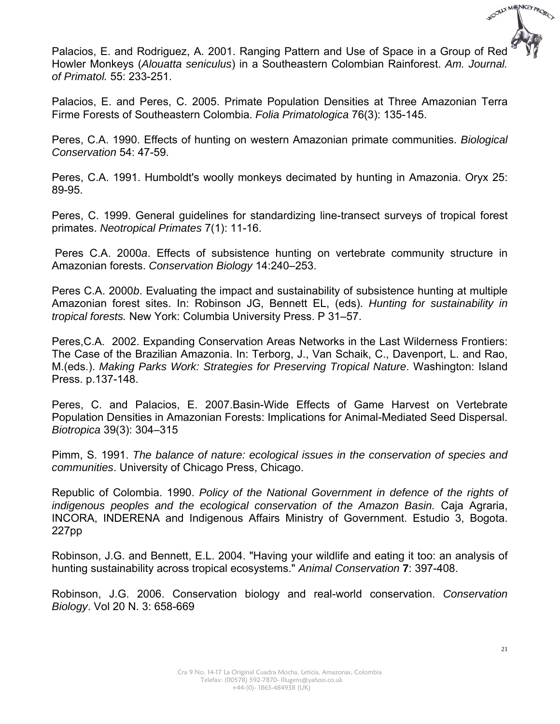

Palacios, E. and Rodriguez, A. 2001. Ranging Pattern and Use of Space in a Group of Red Howler Monkeys (*Alouatta seniculus*) in a Southeastern Colombian Rainforest. *Am. Journal. of Primatol.* 55: 233-251.

Palacios, E. and Peres, C. 2005. Primate Population Densities at Three Amazonian Terra Firme Forests of Southeastern Colombia. *Folia Primatologica* 76(3): 135-145.

Peres, C.A. 1990. Effects of hunting on western Amazonian primate communities. *Biological Conservation* 54: 47-59.

Peres, C.A. 1991. Humboldt's woolly monkeys decimated by hunting in Amazonia. Oryx 25: 89-95.

Peres, C. 1999. General guidelines for standardizing line-transect surveys of tropical forest primates. *Neotropical Primates* 7(1): 11-16.

 Peres C.A. 2000*a*. Effects of subsistence hunting on vertebrate community structure in Amazonian forests. *Conservation Biology* 14:240–253.

Peres C.A. 2000*b*. Evaluating the impact and sustainability of subsistence hunting at multiple Amazonian forest sites. In: Robinson JG, Bennett EL, (eds). *Hunting for sustainability in tropical forests.* New York: Columbia University Press. P 31–57.

Peres,C.A. 2002. Expanding Conservation Areas Networks in the Last Wilderness Frontiers: The Case of the Brazilian Amazonia. In: Terborg, J., Van Schaik, C., Davenport, L. and Rao, M.(eds.). *Making Parks Work: Strategies for Preserving Tropical Nature*. Washington: Island Press. p.137-148.

Peres, C. and Palacios, E. 2007.Basin-Wide Effects of Game Harvest on Vertebrate Population Densities in Amazonian Forests: Implications for Animal-Mediated Seed Dispersal. *Biotropica* 39(3): 304–315

Pimm, S. 1991. *The balance of nature: ecological issues in the conservation of species and communities*. University of Chicago Press, Chicago.

Republic of Colombia. 1990. *Policy of the National Government in defence of the rights of indigenous peoples and the ecological conservation of the Amazon Basin.* Caja Agraria, INCORA, INDERENA and Indigenous Affairs Ministry of Government. Estudio 3, Bogota. 227pp

Robinson, J.G. and Bennett, E.L. 2004. "Having your wildlife and eating it too: an analysis of hunting sustainability across tropical ecosystems." *Animal Conservation* **7**: 397-408.

Robinson, J.G. 2006. Conservation biology and real-world conservation. *Conservation Biology*. Vol 20 N. 3: 658-669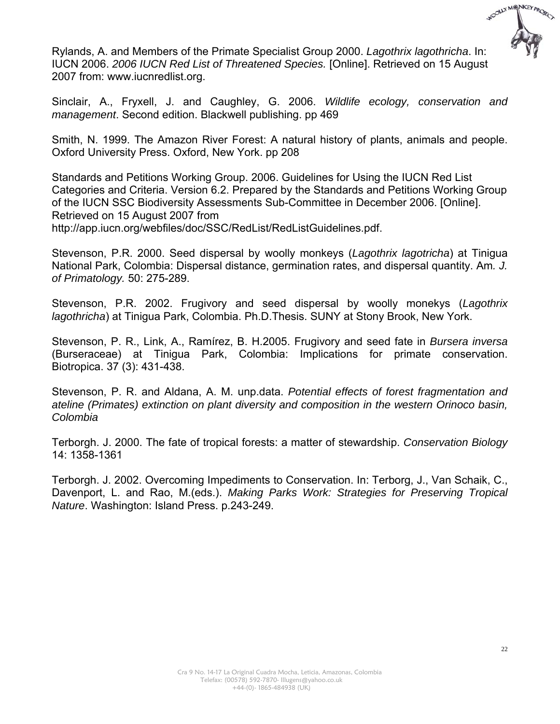

Rylands, A. and Members of the Primate Specialist Group 2000. *Lagothrix lagothricha*. In: IUCN 2006. *2006 IUCN Red List of Threatened Species.* [Online]. Retrieved on 15 August 2007 from: www.iucnredlist.org.

Sinclair, A., Fryxell, J. and Caughley, G. 2006. *Wildlife ecology, conservation and management*. Second edition. Blackwell publishing. pp 469

Smith, N. 1999. The Amazon River Forest: A natural history of plants, animals and people. Oxford University Press. Oxford, New York. pp 208

Standards and Petitions Working Group. 2006. Guidelines for Using the IUCN Red List Categories and Criteria. Version 6.2. Prepared by the Standards and Petitions Working Group of the IUCN SSC Biodiversity Assessments Sub-Committee in December 2006. [Online]. Retrieved on 15 August 2007 from http://app.iucn.org/webfiles/doc/SSC/RedList/RedListGuidelines.pdf.

Stevenson, P.R. 2000. Seed dispersal by woolly monkeys (*Lagothrix lagotricha*) at Tinigua National Park, Colombia: Dispersal distance, germination rates, and dispersal quantity. Am*. J. of Primatology.* 50: 275-289.

Stevenson, P.R. 2002. Frugivory and seed dispersal by woolly monekys (*Lagothrix lagothricha*) at Tinigua Park, Colombia. Ph.D.Thesis. SUNY at Stony Brook, New York.

Stevenson, P. R., Link, A., Ramírez, B. H.2005. Frugivory and seed fate in *Bursera inversa* (Burseraceae) at Tinigua Park, Colombia: Implications for primate conservation. Biotropica. 37 (3): 431-438.

Stevenson, P. R. and Aldana, A. M. unp.data. *Potential effects of forest fragmentation and ateline (Primates) extinction on plant diversity and composition in the western Orinoco basin, Colombia*

Terborgh. J. 2000. The fate of tropical forests: a matter of stewardship. *Conservation Biology* 14: 1358-1361

Terborgh. J. 2002. Overcoming Impediments to Conservation. In: Terborg, J., Van Schaik, C., Davenport, L. and Rao, M.(eds.). *Making Parks Work: Strategies for Preserving Tropical Nature*. Washington: Island Press. p.243-249.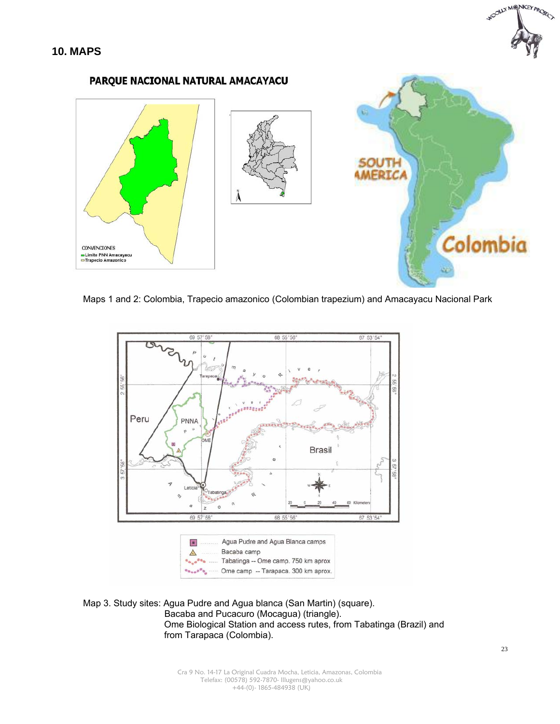





Maps 1 and 2: Colombia, Trapecio amazonico (Colombian trapezium) and Amacayacu Nacional Park



Map 3. Study sites: Agua Pudre and Agua blanca (San Martin) (square). Bacaba and Pucacuro (Mocagua) (triangle). Ome Biological Station and access rutes, from Tabatinga (Brazil) and from Tarapaca (Colombia).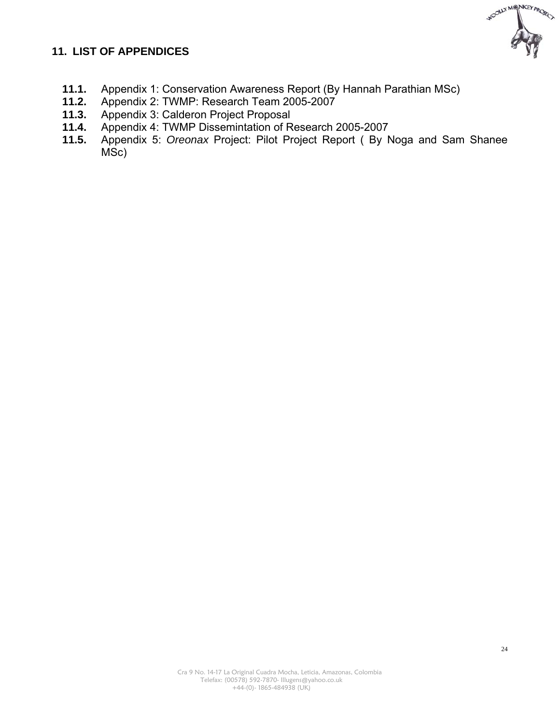# WOOLLY MONKEY PROJECT

#### **11. LIST OF APPENDICES**

- 11.1. Appendix 1: Conservation Awareness Report (By Hannah Parathian MSc)<br>11.2. Appendix 2: TWMP: Research Team 2005-2007
- **11.2.** Appendix 2: TWMP: Research Team 2005-2007
- **11.3.** Appendix 3: Calderon Project Proposal
- **11.4.** Appendix 4: TWMP Dissemintation of Research 2005-2007
- **11.5.** Appendix 5: *Oreonax* Project: Pilot Project Report ( By Noga and Sam Shanee MSc)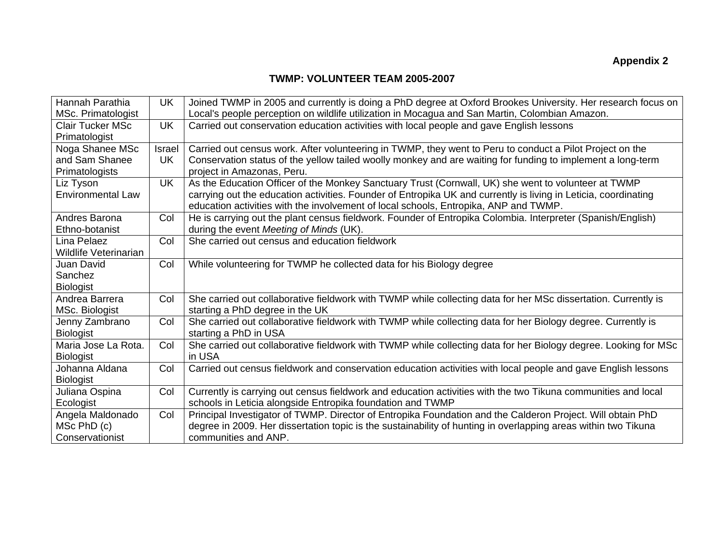#### **TWMP: VOLUNTEER TEAM 2005-2007**

| Hannah Parathia              | UK        | Joined TWMP in 2005 and currently is doing a PhD degree at Oxford Brookes University. Her research focus on     |
|------------------------------|-----------|-----------------------------------------------------------------------------------------------------------------|
| MSc. Primatologist           |           | Local's people perception on wildlife utilization in Mocagua and San Martin, Colombian Amazon.                  |
| <b>Clair Tucker MSc</b>      | <b>UK</b> | Carried out conservation education activities with local people and gave English lessons                        |
| Primatologist                |           |                                                                                                                 |
| Noga Shanee MSc              | Israel    | Carried out census work. After volunteering in TWMP, they went to Peru to conduct a Pilot Project on the        |
| and Sam Shanee               | <b>UK</b> | Conservation status of the yellow tailed woolly monkey and are waiting for funding to implement a long-term     |
| Primatologists               |           | project in Amazonas, Peru.                                                                                      |
| Liz Tyson                    | <b>UK</b> | As the Education Officer of the Monkey Sanctuary Trust (Cornwall, UK) she went to volunteer at TWMP             |
| <b>Environmental Law</b>     |           | carrying out the education activities. Founder of Entropika UK and currently is living in Leticia, coordinating |
|                              |           | education activities with the involvement of local schools, Entropika, ANP and TWMP.                            |
| Andres Barona                | Col       | He is carrying out the plant census fieldwork. Founder of Entropika Colombia. Interpreter (Spanish/English)     |
| Ethno-botanist               |           | during the event Meeting of Minds (UK).                                                                         |
| Lina Pelaez                  | Col       | She carried out census and education fieldwork                                                                  |
| <b>Wildlife Veterinarian</b> |           |                                                                                                                 |
| Juan David                   | Col       | While volunteering for TWMP he collected data for his Biology degree                                            |
| Sanchez                      |           |                                                                                                                 |
| <b>Biologist</b>             |           |                                                                                                                 |
| Andrea Barrera               | Col       | She carried out collaborative fieldwork with TWMP while collecting data for her MSc dissertation. Currently is  |
| MSc. Biologist               |           | starting a PhD degree in the UK                                                                                 |
| Jenny Zambrano               | Col       | She carried out collaborative fieldwork with TWMP while collecting data for her Biology degree. Currently is    |
| <b>Biologist</b>             |           | starting a PhD in USA                                                                                           |
| Maria Jose La Rota.          | Col       | She carried out collaborative fieldwork with TWMP while collecting data for her Biology degree. Looking for MSc |
| <b>Biologist</b>             |           | in USA                                                                                                          |
| Johanna Aldana               | Col       | Carried out census fieldwork and conservation education activities with local people and gave English lessons   |
| <b>Biologist</b>             |           |                                                                                                                 |
| Juliana Ospina               | Col       | Currently is carrying out census fieldwork and education activities with the two Tikuna communities and local   |
| Ecologist                    |           | schools in Leticia alongside Entropika foundation and TWMP                                                      |
| Angela Maldonado             | Col       | Principal Investigator of TWMP. Director of Entropika Foundation and the Calderon Project. Will obtain PhD      |
| MSc PhD (c)                  |           | degree in 2009. Her dissertation topic is the sustainability of hunting in overlapping areas within two Tikuna  |
| Conservationist              |           | communities and ANP.                                                                                            |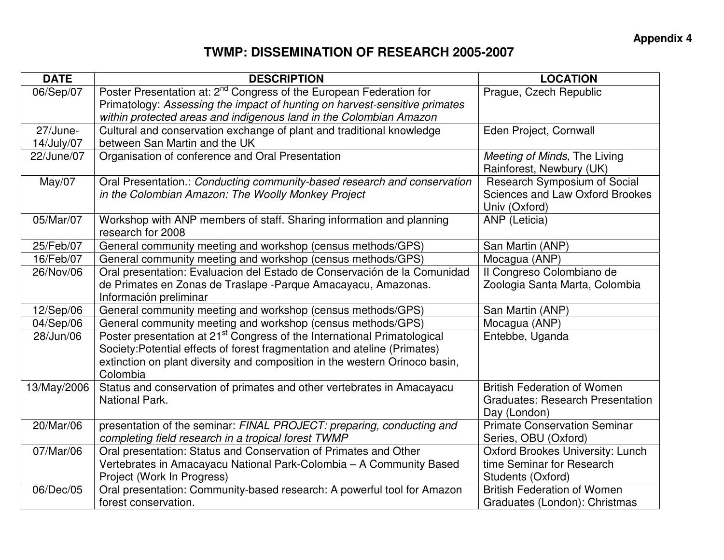## **TWMP: DISSEMINATION OF RESEARCH 2005-2007**

| <b>DATE</b> | <b>DESCRIPTION</b>                                                                        | <b>LOCATION</b>                         |
|-------------|-------------------------------------------------------------------------------------------|-----------------------------------------|
| 06/Sep/07   | Poster Presentation at: 2 <sup>nd</sup> Congress of the European Federation for           | Prague, Czech Republic                  |
|             | Primatology: Assessing the impact of hunting on harvest-sensitive primates                |                                         |
|             | within protected areas and indigenous land in the Colombian Amazon                        |                                         |
| 27/June-    | Cultural and conservation exchange of plant and traditional knowledge                     | Eden Project, Cornwall                  |
| 14/July/07  | between San Martin and the UK                                                             |                                         |
| 22/June/07  | Organisation of conference and Oral Presentation                                          | Meeting of Minds, The Living            |
|             |                                                                                           | Rainforest, Newbury (UK)                |
| May/07      | Oral Presentation.: Conducting community-based research and conservation                  | Research Symposium of Social            |
|             | in the Colombian Amazon: The Woolly Monkey Project                                        | <b>Sciences and Law Oxford Brookes</b>  |
|             |                                                                                           | Univ (Oxford)                           |
| 05/Mar/07   | Workshop with ANP members of staff. Sharing information and planning<br>research for 2008 | ANP (Leticia)                           |
| 25/Feb/07   | General community meeting and workshop (census methods/GPS)                               | San Martin (ANP)                        |
| 16/Feb/07   | General community meeting and workshop (census methods/GPS)                               | Mocagua (ANP)                           |
| 26/Nov/06   | Oral presentation: Evaluacion del Estado de Conservación de la Comunidad                  | Il Congreso Colombiano de               |
|             | de Primates en Zonas de Traslape - Parque Amacayacu, Amazonas.                            | Zoologia Santa Marta, Colombia          |
|             | Información preliminar                                                                    |                                         |
| 12/Sep/06   | General community meeting and workshop (census methods/GPS)                               | San Martin (ANP)                        |
| 04/Sep/06   | General community meeting and workshop (census methods/GPS)                               | Mocagua (ANP)                           |
| 28/Jun/06   | Poster presentation at 21 <sup>st</sup> Congress of the International Primatological      | Entebbe, Uganda                         |
|             | Society: Potential effects of forest fragmentation and ateline (Primates)                 |                                         |
|             | extinction on plant diversity and composition in the western Orinoco basin,               |                                         |
|             | Colombia                                                                                  |                                         |
| 13/May/2006 | Status and conservation of primates and other vertebrates in Amacayacu                    | <b>British Federation of Women</b>      |
|             | National Park.                                                                            | <b>Graduates: Research Presentation</b> |
|             |                                                                                           | Day (London)                            |
| 20/Mar/06   | presentation of the seminar: FINAL PROJECT: preparing, conducting and                     | <b>Primate Conservation Seminar</b>     |
|             | completing field research in a tropical forest TWMP                                       | Series, OBU (Oxford)                    |
| 07/Mar/06   | Oral presentation: Status and Conservation of Primates and Other                          | <b>Oxford Brookes University: Lunch</b> |
|             | Vertebrates in Amacayacu National Park-Colombia - A Community Based                       | time Seminar for Research               |
|             | Project (Work In Progress)                                                                | Students (Oxford)                       |
| 06/Dec/05   | Oral presentation: Community-based research: A powerful tool for Amazon                   | <b>British Federation of Women</b>      |
|             | forest conservation.                                                                      | Graduates (London): Christmas           |